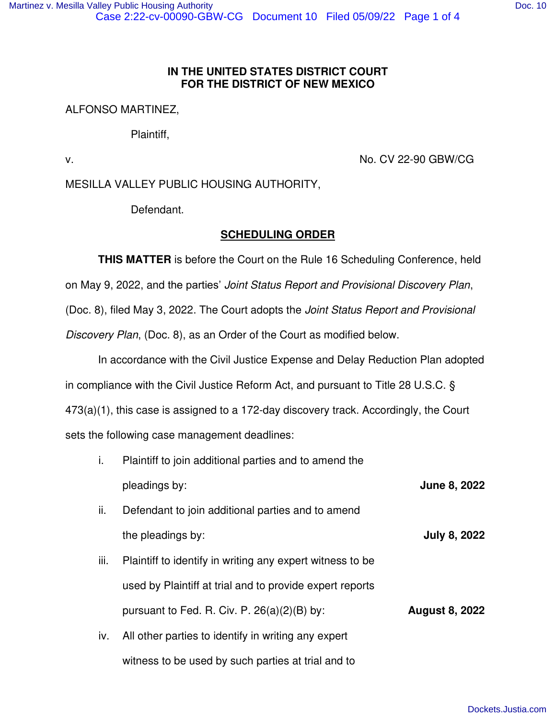# **IN THE UNITED STATES DISTRICT COURT FOR THE DISTRICT OF NEW MEXICO**

## ALFONSO MARTINEZ,

Plaintiff,

v. No. CV 22-90 GBW/CG

# MESILLA VALLEY PUBLIC HOUSING AUTHORITY,

Defendant.

# **SCHEDULING ORDER**

**THIS MATTER** is before the Court on the Rule 16 Scheduling Conference, held on May 9, 2022, and the parties' Joint Status Report and Provisional Discovery Plan, (Doc. 8), filed May 3, 2022. The Court adopts the Joint Status Report and Provisional Discovery Plan, (Doc. 8), as an Order of the Court as modified below.

In accordance with the Civil Justice Expense and Delay Reduction Plan adopted in compliance with the Civil Justice Reform Act, and pursuant to Title 28 U.S.C. § 473(a)(1), this case is assigned to a 172-day discovery track. Accordingly, the Court sets the following case management deadlines:

- i. Plaintiff to join additional parties and to amend the pleadings by: **June 8, 2022**
- ii. Defendant to join additional parties and to amend the pleadings by: **July 8, 2022**
- iii. Plaintiff to identify in writing any expert witness to be used by Plaintiff at trial and to provide expert reports pursuant to Fed. R. Civ. P.  $26(a)(2)(B)$  by: **August 8, 2022**
- iv. All other parties to identify in writing any expert witness to be used by such parties at trial and to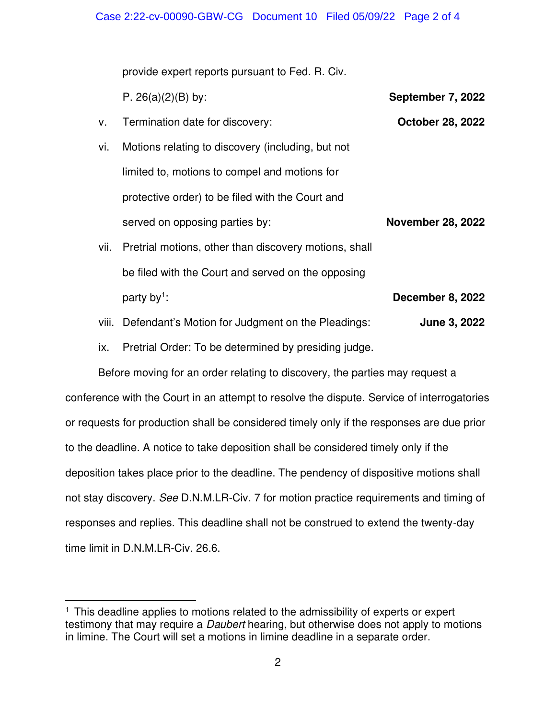provide expert reports pursuant to Fed. R. Civ.

P.  $26(a)(2)(B)$  by: **September 7, 2022** 

- v. Termination date for discovery: **October 28, 2022**
- vi. Motions relating to discovery (including, but not limited to, motions to compel and motions for protective order) to be filed with the Court and served on opposing parties by: **November 28, 2022**
- vii. Pretrial motions, other than discovery motions, shall be filed with the Court and served on the opposing party by<sup>1</sup>: **December 8, 2022**
- viii. Defendant's Motion for Judgment on the Pleadings: **June 3, 2022**

ix. Pretrial Order: To be determined by presiding judge.

Before moving for an order relating to discovery, the parties may request a conference with the Court in an attempt to resolve the dispute. Service of interrogatories or requests for production shall be considered timely only if the responses are due prior to the deadline. A notice to take deposition shall be considered timely only if the deposition takes place prior to the deadline. The pendency of dispositive motions shall not stay discovery. See D.N.M.LR-Civ. 7 for motion practice requirements and timing of responses and replies. This deadline shall not be construed to extend the twenty-day time limit in D.N.M.LR-Civ. 26.6.

<sup>&</sup>lt;sup>1</sup> This deadline applies to motions related to the admissibility of experts or expert testimony that may require a *Daubert* hearing, but otherwise does not apply to motions in limine. The Court will set a motions in limine deadline in a separate order.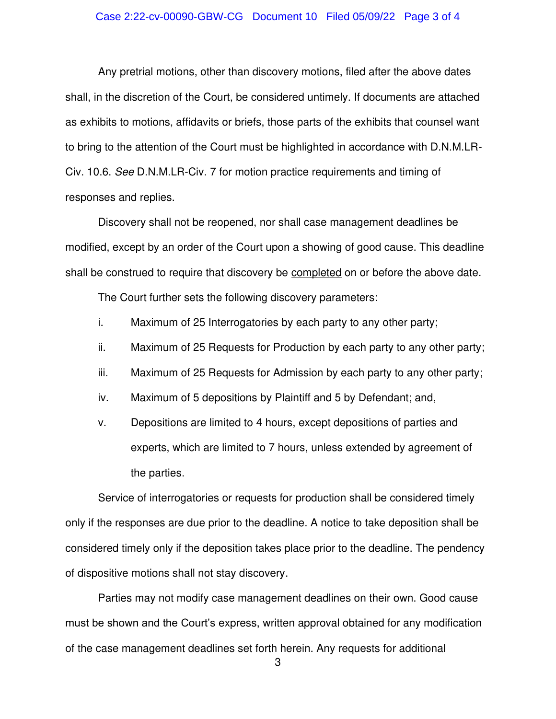#### Case 2:22-cv-00090-GBW-CG Document 10 Filed 05/09/22 Page 3 of 4

Any pretrial motions, other than discovery motions, filed after the above dates shall, in the discretion of the Court, be considered untimely. If documents are attached as exhibits to motions, affidavits or briefs, those parts of the exhibits that counsel want to bring to the attention of the Court must be highlighted in accordance with D.N.M.LR-Civ. 10.6. See D.N.M.LR-Civ. 7 for motion practice requirements and timing of responses and replies.

Discovery shall not be reopened, nor shall case management deadlines be modified, except by an order of the Court upon a showing of good cause. This deadline shall be construed to require that discovery be completed on or before the above date.

The Court further sets the following discovery parameters:

- i. Maximum of 25 Interrogatories by each party to any other party;
- ii. Maximum of 25 Requests for Production by each party to any other party;
- iii. Maximum of 25 Requests for Admission by each party to any other party;
- iv. Maximum of 5 depositions by Plaintiff and 5 by Defendant; and,
- v. Depositions are limited to 4 hours, except depositions of parties and experts, which are limited to 7 hours, unless extended by agreement of the parties.

Service of interrogatories or requests for production shall be considered timely only if the responses are due prior to the deadline. A notice to take deposition shall be considered timely only if the deposition takes place prior to the deadline. The pendency of dispositive motions shall not stay discovery.

Parties may not modify case management deadlines on their own. Good cause must be shown and the Court's express, written approval obtained for any modification of the case management deadlines set forth herein. Any requests for additional

<sup>3</sup>